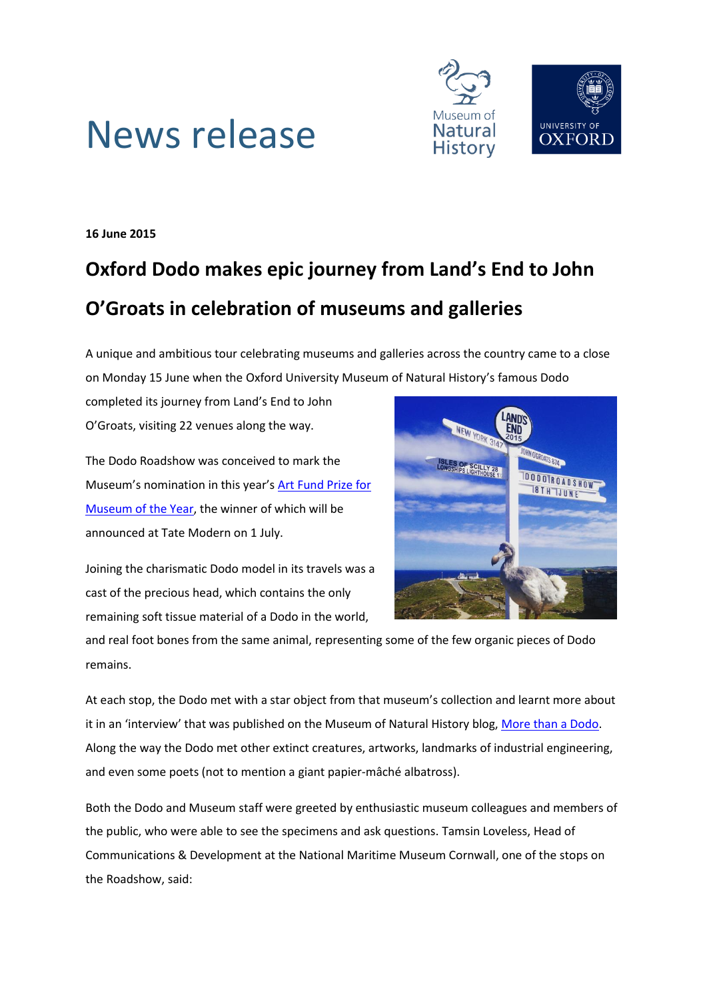



**16 June 2015**

## **Oxford Dodo makes epic journey from Land's End to John O'Groats in celebration of museums and galleries**

A unique and ambitious tour celebrating museums and galleries across the country came to a close on Monday 15 June when the Oxford University Museum of Natural History's famous Dodo

completed its journey from Land's End to John O'Groats, visiting 22 venues along the way.

The Dodo Roadshow was conceived to mark the Museum's nomination in this year's [Art Fund Prize for](http://www.oum.ox.ac.uk/about/artfund.htm)  [Museum of the Year,](http://www.oum.ox.ac.uk/about/artfund.htm) the winner of which will be announced at Tate Modern on 1 July.

Joining the charismatic Dodo model in its travels was a cast of the precious head, which contains the only remaining soft tissue material of a Dodo in the world,



and real foot bones from the same animal, representing some of the few organic pieces of Dodo remains.

At each stop, the Dodo met with a star object from that museum's collection and learnt more about it in an 'interview' that was published on the Museum of Natural History blog, [More than a Dodo.](http://morethanadodo.com/category/dodo-roadshow/) Along the way the Dodo met other extinct creatures, artworks, landmarks of industrial engineering, and even some poets (not to mention a giant papier-mâché albatross).

Both the Dodo and Museum staff were greeted by enthusiastic museum colleagues and members of the public, who were able to see the specimens and ask questions. Tamsin Loveless, Head of Communications & Development at the National Maritime Museum Cornwall, one of the stops on the Roadshow, said: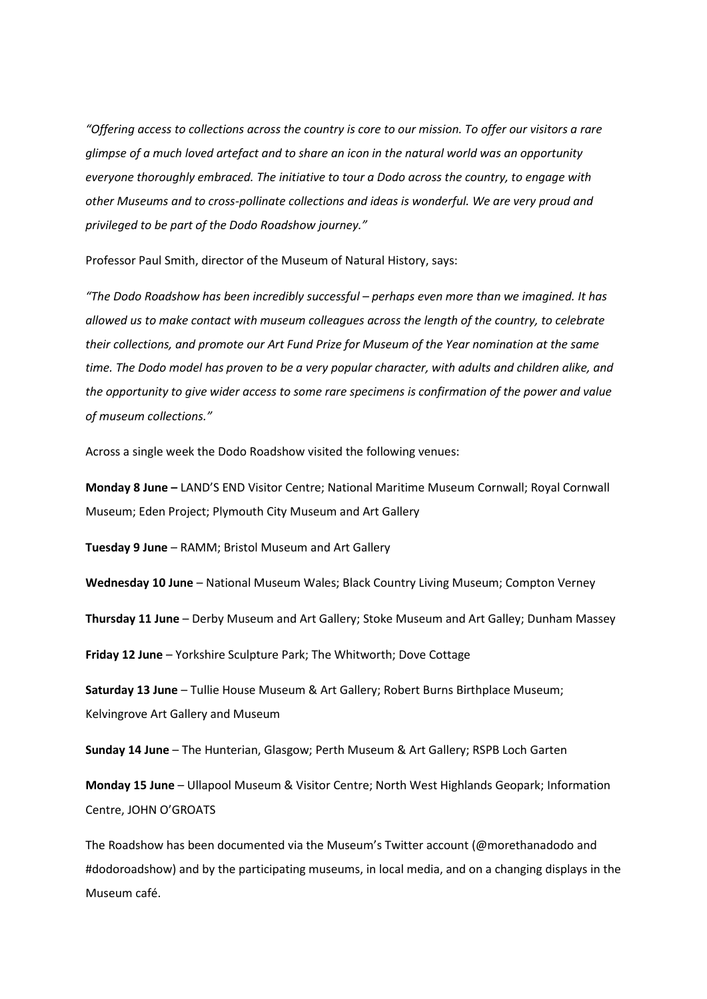*"Offering access to collections across the country is core to our mission. To offer our visitors a rare glimpse of a much loved artefact and to share an icon in the natural world was an opportunity everyone thoroughly embraced. The initiative to tour a Dodo across the country, to engage with other Museums and to cross-pollinate collections and ideas is wonderful. We are very proud and privileged to be part of the Dodo Roadshow journey."*

Professor Paul Smith, director of the Museum of Natural History, says:

*"The Dodo Roadshow has been incredibly successful – perhaps even more than we imagined. It has allowed us to make contact with museum colleagues across the length of the country, to celebrate their collections, and promote our Art Fund Prize for Museum of the Year nomination at the same time. The Dodo model has proven to be a very popular character, with adults and children alike, and the opportunity to give wider access to some rare specimens is confirmation of the power and value of museum collections."*

Across a single week the Dodo Roadshow visited the following venues:

**Monday 8 June –** LAND'S END Visitor Centre; National Maritime Museum Cornwall; Royal Cornwall Museum; Eden Project; Plymouth City Museum and Art Gallery

**Tuesday 9 June** – RAMM; Bristol Museum and Art Gallery

**Wednesday 10 June** – National Museum Wales; Black Country Living Museum; Compton Verney

**Thursday 11 June** – Derby Museum and Art Gallery; Stoke Museum and Art Galley; Dunham Massey

**Friday 12 June** – Yorkshire Sculpture Park; The Whitworth; Dove Cottage

**Saturday 13 June** – Tullie House Museum & Art Gallery; Robert Burns Birthplace Museum; Kelvingrove Art Gallery and Museum

**Sunday 14 June** – The Hunterian, Glasgow; Perth Museum & Art Gallery; RSPB Loch Garten

**Monday 15 June** – Ullapool Museum & Visitor Centre; North West Highlands Geopark; Information Centre, JOHN O'GROATS

The Roadshow has been documented via the Museum's Twitter account (@morethanadodo and #dodoroadshow) and by the participating museums, in local media, and on a changing displays in the Museum café.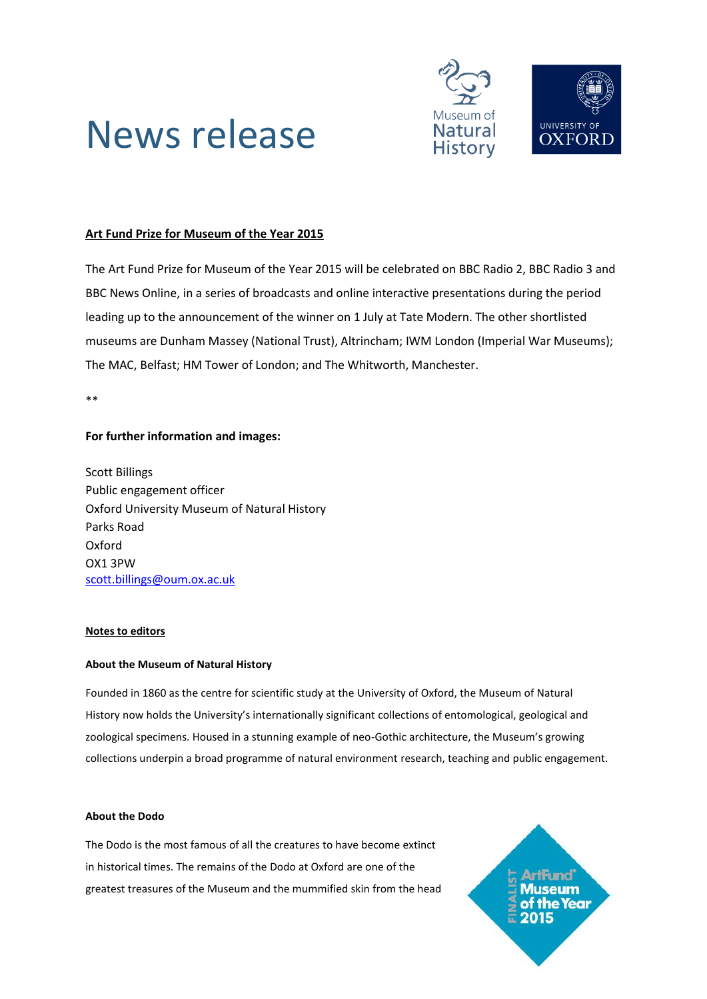

# News release

### **Art Fund Prize for Museum of the Year 2015**

The Art Fund Prize for Museum of the Year 2015 will be celebrated on BBC Radio 2, BBC Radio 3 and BBC News Online, in a series of broadcasts and online interactive presentations during the period leading up to the announcement of the winner on 1 July at Tate Modern. The other shortlisted museums are Dunham Massey (National Trust), Altrincham; IWM London (Imperial War Museums); The MAC, Belfast; HM Tower of London; and The Whitworth, Manchester.

\*\*

#### **For further information and images:**

Scott Billings Public engagement officer Oxford University Museum of Natural History Parks Road Oxford OX1 3PW [scott.billings@oum.ox.ac.uk](mailto:scott.billings@oum.ox.ac.uk)

#### **Notes to editors**

#### **About the Museum of Natural History**

Founded in 1860 as the centre for scientific study at the University of Oxford, the Museum of Natural History now holds the University's internationally significant collections of entomological, geological and zoological specimens. Housed in a stunning example of neo-Gothic architecture, the Museum's growing collections underpin a broad programme of natural environment research, teaching and public engagement.

#### **About the Dodo**

The Dodo is the most famous of all the creatures to have become extinct in historical times. The remains of the Dodo at Oxford are one of the greatest treasures of the Museum and the mummified skin from the head